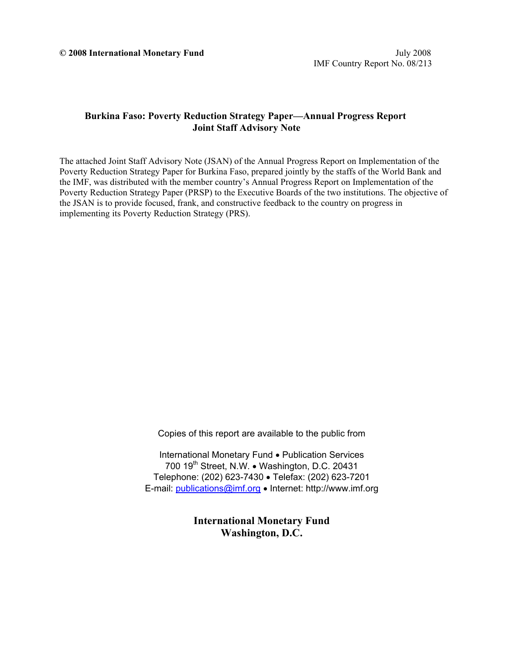### **Burkina Faso: Poverty Reduction Strategy Paper—Annual Progress Report Joint Staff Advisory Note**

The attached Joint Staff Advisory Note (JSAN) of the Annual Progress Report on Implementation of the Poverty Reduction Strategy Paper for Burkina Faso, prepared jointly by the staffs of the World Bank and the IMF, was distributed with the member country's Annual Progress Report on Implementation of the Poverty Reduction Strategy Paper (PRSP) to the Executive Boards of the two institutions. The objective of the JSAN is to provide focused, frank, and constructive feedback to the country on progress in implementing its Poverty Reduction Strategy (PRS).

Copies of this report are available to the public from

International Monetary Fund • Publication Services Telephone: (202) 623-7430 • Telefax: (202) 623-7201 E-mail: publications@imf.org • Internet: http://www.imf.org 700  $19<sup>th</sup>$  Street, N.W. • Washington, D.C. 20431

> **International Monetary Fund Washington, D.C.**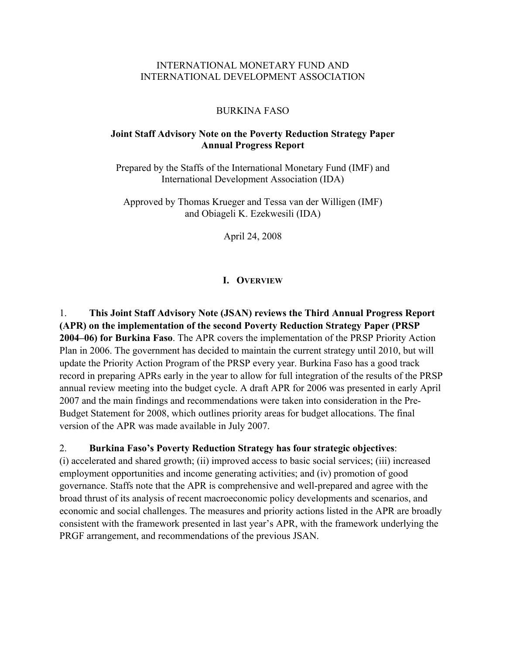### INTERNATIONAL MONETARY FUND AND INTERNATIONAL DEVELOPMENT ASSOCIATION

#### BURKINA FASO

### **Joint Staff Advisory Note on the Poverty Reduction Strategy Paper Annual Progress Report**

Prepared by the Staffs of the International Monetary Fund (IMF) and International Development Association (IDA)

Approved by Thomas Krueger and Tessa van der Willigen (IMF) and Obiageli K. Ezekwesili (IDA)

April 24, 2008

#### **I. OVERVIEW**

1. **This Joint Staff Advisory Note (JSAN) reviews the Third Annual Progress Report (APR) on the implementation of the second Poverty Reduction Strategy Paper (PRSP 2004–06) for Burkina Faso**. The APR covers the implementation of the PRSP Priority Action Plan in 2006. The government has decided to maintain the current strategy until 2010, but will update the Priority Action Program of the PRSP every year. Burkina Faso has a good track record in preparing APRs early in the year to allow for full integration of the results of the PRSP annual review meeting into the budget cycle. A draft APR for 2006 was presented in early April 2007 and the main findings and recommendations were taken into consideration in the Pre-Budget Statement for 2008, which outlines priority areas for budget allocations. The final version of the APR was made available in July 2007.

#### 2. **Burkina Faso's Poverty Reduction Strategy has four strategic objectives**:

(i) accelerated and shared growth; (ii) improved access to basic social services; (iii) increased employment opportunities and income generating activities; and (iv) promotion of good governance. Staffs note that the APR is comprehensive and well-prepared and agree with the broad thrust of its analysis of recent macroeconomic policy developments and scenarios, and economic and social challenges. The measures and priority actions listed in the APR are broadly consistent with the framework presented in last year's APR, with the framework underlying the PRGF arrangement, and recommendations of the previous JSAN.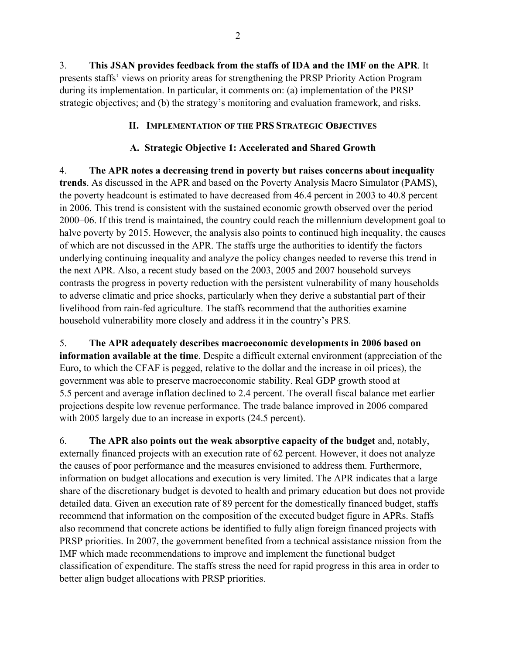3. **This JSAN provides feedback from the staffs of IDA and the IMF on the APR**. It presents staffs' views on priority areas for strengthening the PRSP Priority Action Program during its implementation. In particular, it comments on: (a) implementation of the PRSP strategic objectives; and (b) the strategy's monitoring and evaluation framework, and risks.

### **II. IMPLEMENTATION OF THE PRS STRATEGIC OBJECTIVES**

### **A. Strategic Objective 1: Accelerated and Shared Growth**

4. **The APR notes a decreasing trend in poverty but raises concerns about inequality trends**. As discussed in the APR and based on the Poverty Analysis Macro Simulator (PAMS), the poverty headcount is estimated to have decreased from 46.4 percent in 2003 to 40.8 percent in 2006. This trend is consistent with the sustained economic growth observed over the period 2000–06. If this trend is maintained, the country could reach the millennium development goal to halve poverty by 2015. However, the analysis also points to continued high inequality, the causes of which are not discussed in the APR. The staffs urge the authorities to identify the factors underlying continuing inequality and analyze the policy changes needed to reverse this trend in the next APR. Also, a recent study based on the 2003, 2005 and 2007 household surveys contrasts the progress in poverty reduction with the persistent vulnerability of many households to adverse climatic and price shocks, particularly when they derive a substantial part of their livelihood from rain-fed agriculture. The staffs recommend that the authorities examine household vulnerability more closely and address it in the country's PRS.

5. **The APR adequately describes macroeconomic developments in 2006 based on information available at the time**. Despite a difficult external environment (appreciation of the Euro, to which the CFAF is pegged, relative to the dollar and the increase in oil prices), the government was able to preserve macroeconomic stability. Real GDP growth stood at 5.5 percent and average inflation declined to 2.4 percent. The overall fiscal balance met earlier projections despite low revenue performance. The trade balance improved in 2006 compared with 2005 largely due to an increase in exports  $(24.5 \text{ percent})$ .

6. **The APR also points out the weak absorptive capacity of the budget** and, notably, externally financed projects with an execution rate of 62 percent. However, it does not analyze the causes of poor performance and the measures envisioned to address them. Furthermore, information on budget allocations and execution is very limited. The APR indicates that a large share of the discretionary budget is devoted to health and primary education but does not provide detailed data. Given an execution rate of 89 percent for the domestically financed budget, staffs recommend that information on the composition of the executed budget figure in APRs. Staffs also recommend that concrete actions be identified to fully align foreign financed projects with PRSP priorities. In 2007, the government benefited from a technical assistance mission from the IMF which made recommendations to improve and implement the functional budget classification of expenditure. The staffs stress the need for rapid progress in this area in order to better align budget allocations with PRSP priorities.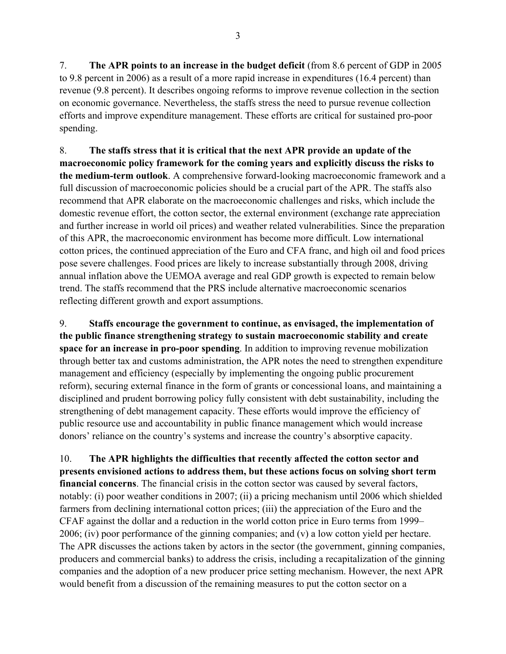7. **The APR points to an increase in the budget deficit** (from 8.6 percent of GDP in 2005 to 9.8 percent in 2006) as a result of a more rapid increase in expenditures (16.4 percent) than revenue (9.8 percent). It describes ongoing reforms to improve revenue collection in the section on economic governance. Nevertheless, the staffs stress the need to pursue revenue collection efforts and improve expenditure management. These efforts are critical for sustained pro-poor spending.

8. **The staffs stress that it is critical that the next APR provide an update of the macroeconomic policy framework for the coming years and explicitly discuss the risks to the medium-term outlook**. A comprehensive forward-looking macroeconomic framework and a full discussion of macroeconomic policies should be a crucial part of the APR. The staffs also recommend that APR elaborate on the macroeconomic challenges and risks, which include the domestic revenue effort, the cotton sector, the external environment (exchange rate appreciation and further increase in world oil prices) and weather related vulnerabilities. Since the preparation of this APR, the macroeconomic environment has become more difficult. Low international cotton prices, the continued appreciation of the Euro and CFA franc, and high oil and food prices pose severe challenges. Food prices are likely to increase substantially through 2008, driving annual inflation above the UEMOA average and real GDP growth is expected to remain below trend. The staffs recommend that the PRS include alternative macroeconomic scenarios reflecting different growth and export assumptions.

9. **Staffs encourage the government to continue, as envisaged, the implementation of the public finance strengthening strategy to sustain macroeconomic stability and create space for an increase in pro-poor spending**. In addition to improving revenue mobilization through better tax and customs administration, the APR notes the need to strengthen expenditure management and efficiency (especially by implementing the ongoing public procurement reform), securing external finance in the form of grants or concessional loans, and maintaining a disciplined and prudent borrowing policy fully consistent with debt sustainability, including the strengthening of debt management capacity. These efforts would improve the efficiency of public resource use and accountability in public finance management which would increase donors' reliance on the country's systems and increase the country's absorptive capacity.

10. **The APR highlights the difficulties that recently affected the cotton sector and presents envisioned actions to address them, but these actions focus on solving short term financial concerns**. The financial crisis in the cotton sector was caused by several factors, notably: (i) poor weather conditions in 2007; (ii) a pricing mechanism until 2006 which shielded farmers from declining international cotton prices; (iii) the appreciation of the Euro and the CFAF against the dollar and a reduction in the world cotton price in Euro terms from 1999– 2006; (iv) poor performance of the ginning companies; and (v) a low cotton yield per hectare. The APR discusses the actions taken by actors in the sector (the government, ginning companies, producers and commercial banks) to address the crisis, including a recapitalization of the ginning companies and the adoption of a new producer price setting mechanism. However, the next APR would benefit from a discussion of the remaining measures to put the cotton sector on a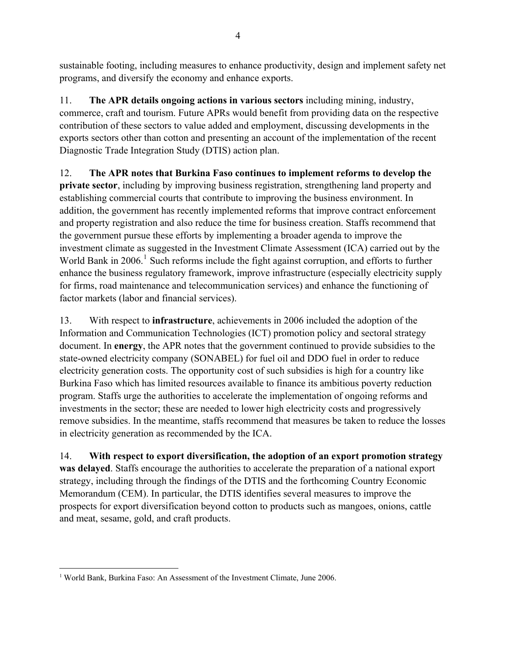sustainable footing, including measures to enhance productivity, design and implement safety net programs, and diversify the economy and enhance exports.

11. **The APR details ongoing actions in various sectors** including mining, industry, commerce, craft and tourism. Future APRs would benefit from providing data on the respective contribution of these sectors to value added and employment, discussing developments in the exports sectors other than cotton and presenting an account of the implementation of the recent Diagnostic Trade Integration Study (DTIS) action plan.

12. **The APR notes that Burkina Faso continues to implement reforms to develop the private sector**, including by improving business registration, strengthening land property and establishing commercial courts that contribute to improving the business environment. In addition, the government has recently implemented reforms that improve contract enforcement and property registration and also reduce the time for business creation. Staffs recommend that the government pursue these efforts by implementing a broader agenda to improve the investment climate as suggested in the Investment Climate Assessment (ICA) carried out by the World Bank in  $2006$ .<sup>[1](#page-5-0)</sup> Such reforms include the fight against corruption, and efforts to further enhance the business regulatory framework, improve infrastructure (especially electricity supply for firms, road maintenance and telecommunication services) and enhance the functioning of factor markets (labor and financial services).

13. With respect to **infrastructure**, achievements in 2006 included the adoption of the Information and Communication Technologies (ICT) promotion policy and sectoral strategy document. In **energy**, the APR notes that the government continued to provide subsidies to the state-owned electricity company (SONABEL) for fuel oil and DDO fuel in order to reduce electricity generation costs. The opportunity cost of such subsidies is high for a country like Burkina Faso which has limited resources available to finance its ambitious poverty reduction program. Staffs urge the authorities to accelerate the implementation of ongoing reforms and investments in the sector; these are needed to lower high electricity costs and progressively remove subsidies. In the meantime, staffs recommend that measures be taken to reduce the losses in electricity generation as recommended by the ICA.

14. **With respect to export diversification, the adoption of an export promotion strategy was delayed**. Staffs encourage the authorities to accelerate the preparation of a national export strategy, including through the findings of the DTIS and the forthcoming Country Economic Memorandum (CEM). In particular, the DTIS identifies several measures to improve the prospects for export diversification beyond cotton to products such as mangoes, onions, cattle and meat, sesame, gold, and craft products.

 $\overline{a}$ 

<span id="page-5-0"></span><sup>&</sup>lt;sup>1</sup> World Bank, Burkina Faso: An Assessment of the Investment Climate, June 2006.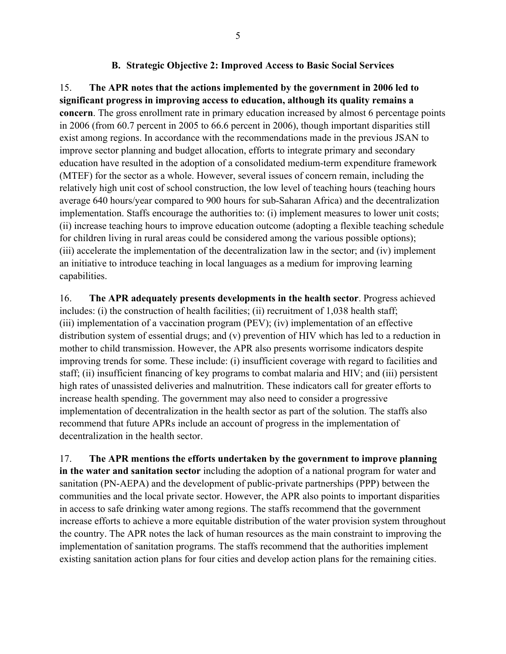### **B. Strategic Objective 2: Improved Access to Basic Social Services**

15. **The APR notes that the actions implemented by the government in 2006 led to significant progress in improving access to education, although its quality remains a concern**. The gross enrollment rate in primary education increased by almost 6 percentage points in 2006 (from 60.7 percent in 2005 to 66.6 percent in 2006), though important disparities still exist among regions. In accordance with the recommendations made in the previous JSAN to improve sector planning and budget allocation, efforts to integrate primary and secondary education have resulted in the adoption of a consolidated medium-term expenditure framework (MTEF) for the sector as a whole. However, several issues of concern remain, including the relatively high unit cost of school construction, the low level of teaching hours (teaching hours average 640 hours/year compared to 900 hours for sub-Saharan Africa) and the decentralization implementation. Staffs encourage the authorities to: (i) implement measures to lower unit costs; (ii) increase teaching hours to improve education outcome (adopting a flexible teaching schedule for children living in rural areas could be considered among the various possible options); (iii) accelerate the implementation of the decentralization law in the sector; and (iv) implement an initiative to introduce teaching in local languages as a medium for improving learning capabilities.

16. **The APR adequately presents developments in the health sector**. Progress achieved includes: (i) the construction of health facilities; (ii) recruitment of 1,038 health staff; (iii) implementation of a vaccination program (PEV); (iv) implementation of an effective distribution system of essential drugs; and (v) prevention of HIV which has led to a reduction in mother to child transmission. However, the APR also presents worrisome indicators despite improving trends for some. These include: (i) insufficient coverage with regard to facilities and staff; (ii) insufficient financing of key programs to combat malaria and HIV; and (iii) persistent high rates of unassisted deliveries and malnutrition. These indicators call for greater efforts to increase health spending. The government may also need to consider a progressive implementation of decentralization in the health sector as part of the solution. The staffs also recommend that future APRs include an account of progress in the implementation of decentralization in the health sector.

17. **The APR mentions the efforts undertaken by the government to improve planning in the water and sanitation sector** including the adoption of a national program for water and sanitation (PN-AEPA) and the development of public-private partnerships (PPP) between the communities and the local private sector. However, the APR also points to important disparities in access to safe drinking water among regions. The staffs recommend that the government increase efforts to achieve a more equitable distribution of the water provision system throughout the country. The APR notes the lack of human resources as the main constraint to improving the implementation of sanitation programs. The staffs recommend that the authorities implement existing sanitation action plans for four cities and develop action plans for the remaining cities.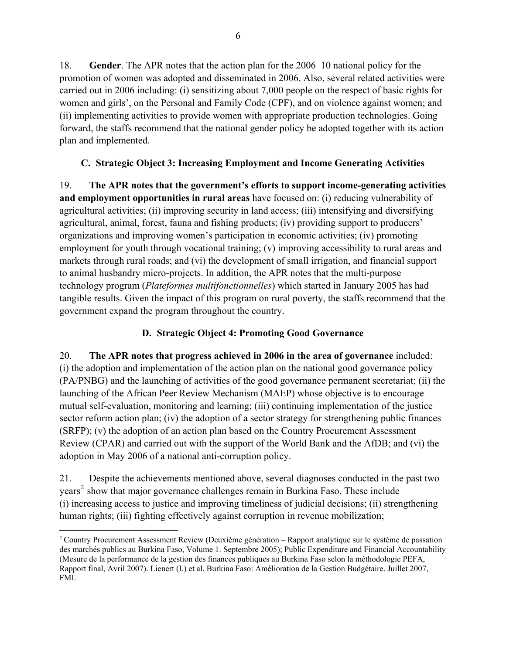18. **Gender**. The APR notes that the action plan for the 2006–10 national policy for the promotion of women was adopted and disseminated in 2006. Also, several related activities were carried out in 2006 including: (i) sensitizing about 7,000 people on the respect of basic rights for women and girls', on the Personal and Family Code (CPF), and on violence against women; and (ii) implementing activities to provide women with appropriate production technologies. Going forward, the staffs recommend that the national gender policy be adopted together with its action plan and implemented.

## **C. Strategic Object 3: Increasing Employment and Income Generating Activities**

19. **The APR notes that the government's efforts to support income-generating activities and employment opportunities in rural areas** have focused on: (i) reducing vulnerability of agricultural activities; (ii) improving security in land access; (iii) intensifying and diversifying agricultural, animal, forest, fauna and fishing products; (iv) providing support to producers' organizations and improving women's participation in economic activities; (iv) promoting employment for youth through vocational training; (v) improving accessibility to rural areas and markets through rural roads; and (vi) the development of small irrigation, and financial support to animal husbandry micro-projects. In addition, the APR notes that the multi-purpose technology program (*Plateformes multifonctionnelles*) which started in January 2005 has had tangible results. Given the impact of this program on rural poverty, the staffs recommend that the government expand the program throughout the country.

# **D. Strategic Object 4: Promoting Good Governance**

20. **The APR notes that progress achieved in 2006 in the area of governance** included: (i) the adoption and implementation of the action plan on the national good governance policy (PA/PNBG) and the launching of activities of the good governance permanent secretariat; (ii) the launching of the African Peer Review Mechanism (MAEP) whose objective is to encourage mutual self-evaluation, monitoring and learning; (iii) continuing implementation of the justice sector reform action plan; (iv) the adoption of a sector strategy for strengthening public finances (SRFP); (v) the adoption of an action plan based on the Country Procurement Assessment Review (CPAR) and carried out with the support of the World Bank and the AfDB; and (vi) the adoption in May 2006 of a national anti-corruption policy.

21. Despite the achievements mentioned above, several diagnoses conducted in the past two years<sup>[2](#page-7-0)</sup> show that major governance challenges remain in Burkina Faso. These include (i) increasing access to justice and improving timeliness of judicial decisions; (ii) strengthening human rights; (iii) fighting effectively against corruption in revenue mobilization;

<span id="page-7-0"></span> $\overline{a}$ <sup>2</sup> Country Procurement Assessment Review (Deuxième génération – Rapport analytique sur le système de passation des marchés publics au Burkina Faso, Volume 1. Septembre 2005); Public Expenditure and Financial Accountability (Mesure de la performance de la gestion des finances publiques au Burkina Faso selon la méthodologie PEFA, Rapport final, Avril 2007). Lienert (I.) et al. Burkina Faso: Amélioration de la Gestion Budgétaire. Juillet 2007, FMI.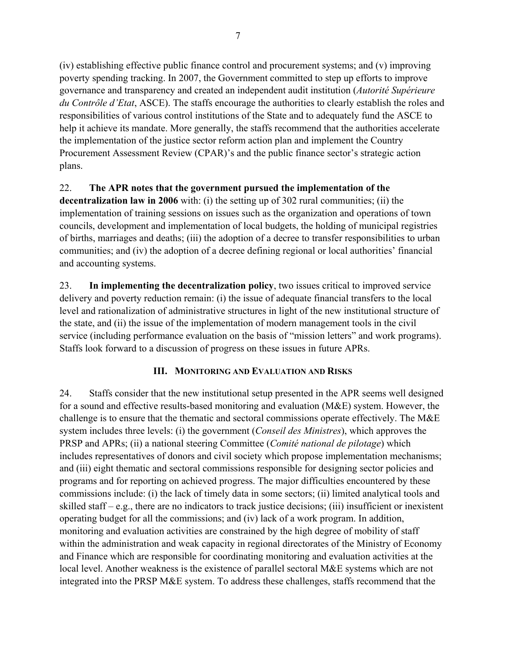(iv) establishing effective public finance control and procurement systems; and (v) improving poverty spending tracking. In 2007, the Government committed to step up efforts to improve governance and transparency and created an independent audit institution (*Autorité Supérieure du Contrôle d'Etat*, ASCE). The staffs encourage the authorities to clearly establish the roles and responsibilities of various control institutions of the State and to adequately fund the ASCE to help it achieve its mandate. More generally, the staffs recommend that the authorities accelerate the implementation of the justice sector reform action plan and implement the Country Procurement Assessment Review (CPAR)'s and the public finance sector's strategic action plans.

# 22. **The APR notes that the government pursued the implementation of the**

**decentralization law in 2006** with: (i) the setting up of 302 rural communities; (ii) the implementation of training sessions on issues such as the organization and operations of town councils, development and implementation of local budgets, the holding of municipal registries of births, marriages and deaths; (iii) the adoption of a decree to transfer responsibilities to urban communities; and (iv) the adoption of a decree defining regional or local authorities' financial and accounting systems.

23. **In implementing the decentralization policy**, two issues critical to improved service delivery and poverty reduction remain: (i) the issue of adequate financial transfers to the local level and rationalization of administrative structures in light of the new institutional structure of the state, and (ii) the issue of the implementation of modern management tools in the civil service (including performance evaluation on the basis of "mission letters" and work programs). Staffs look forward to a discussion of progress on these issues in future APRs.

## **III. MONITORING AND EVALUATION AND RISKS**

24. Staffs consider that the new institutional setup presented in the APR seems well designed for a sound and effective results-based monitoring and evaluation (M&E) system. However, the challenge is to ensure that the thematic and sectoral commissions operate effectively. The M&E system includes three levels: (i) the government (*Conseil des Ministres*), which approves the PRSP and APRs; (ii) a national steering Committee (*Comité national de pilotage*) which includes representatives of donors and civil society which propose implementation mechanisms; and (iii) eight thematic and sectoral commissions responsible for designing sector policies and programs and for reporting on achieved progress. The major difficulties encountered by these commissions include: (i) the lack of timely data in some sectors; (ii) limited analytical tools and skilled staff – e.g., there are no indicators to track justice decisions; (iii) insufficient or inexistent operating budget for all the commissions; and (iv) lack of a work program. In addition, monitoring and evaluation activities are constrained by the high degree of mobility of staff within the administration and weak capacity in regional directorates of the Ministry of Economy and Finance which are responsible for coordinating monitoring and evaluation activities at the local level. Another weakness is the existence of parallel sectoral M&E systems which are not integrated into the PRSP M&E system. To address these challenges, staffs recommend that the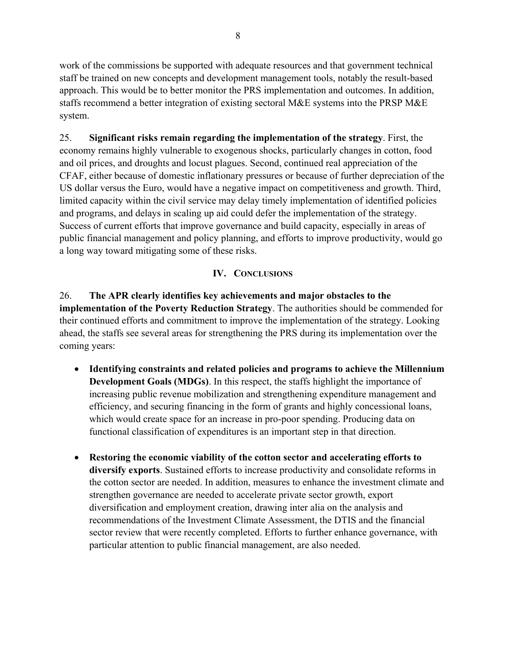work of the commissions be supported with adequate resources and that government technical staff be trained on new concepts and development management tools, notably the result-based approach. This would be to better monitor the PRS implementation and outcomes. In addition, staffs recommend a better integration of existing sectoral M&E systems into the PRSP M&E system.

25. **Significant risks remain regarding the implementation of the strategy**. First, the economy remains highly vulnerable to exogenous shocks, particularly changes in cotton, food and oil prices, and droughts and locust plagues. Second, continued real appreciation of the CFAF, either because of domestic inflationary pressures or because of further depreciation of the US dollar versus the Euro, would have a negative impact on competitiveness and growth. Third, limited capacity within the civil service may delay timely implementation of identified policies and programs, and delays in scaling up aid could defer the implementation of the strategy. Success of current efforts that improve governance and build capacity, especially in areas of public financial management and policy planning, and efforts to improve productivity, would go a long way toward mitigating some of these risks.

# **IV. CONCLUSIONS**

26. **The APR clearly identifies key achievements and major obstacles to the implementation of the Poverty Reduction Strategy**. The authorities should be commended for their continued efforts and commitment to improve the implementation of the strategy. Looking ahead, the staffs see several areas for strengthening the PRS during its implementation over the coming years:

- **Identifying constraints and related policies and programs to achieve the Millennium Development Goals (MDGs)**. In this respect, the staffs highlight the importance of increasing public revenue mobilization and strengthening expenditure management and efficiency, and securing financing in the form of grants and highly concessional loans, which would create space for an increase in pro-poor spending. Producing data on functional classification of expenditures is an important step in that direction.
- **Restoring the economic viability of the cotton sector and accelerating efforts to diversify exports**. Sustained efforts to increase productivity and consolidate reforms in the cotton sector are needed. In addition, measures to enhance the investment climate and strengthen governance are needed to accelerate private sector growth, export diversification and employment creation, drawing inter alia on the analysis and recommendations of the Investment Climate Assessment, the DTIS and the financial sector review that were recently completed. Efforts to further enhance governance, with particular attention to public financial management, are also needed.